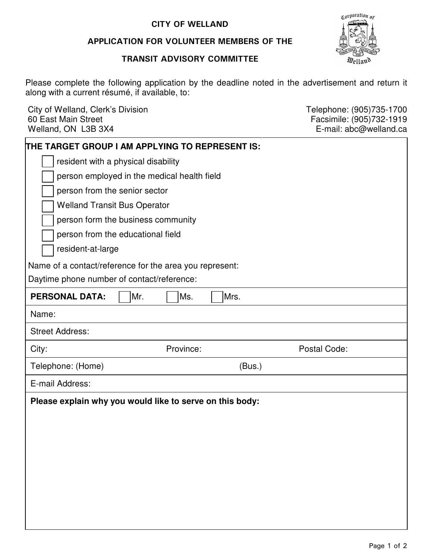## CITY OF WELLAND

## APPLICATION FOR VOLUNTEER MEMBERS OF THE

#### TRANSIT ADVISORY COMMITTEE



 Please complete the following application by the deadline noted in the advertisement and return it along with a current résumé, if available, to:

City of Welland, Clerk's Division Clerkton Clerking Clergy Control Clergy Telephone: (905)735-1700 60 East Main Street Welland, ON L3B 3X4 60 East Main Street Facsimile: (905)732-1919

E-mail: abc@welland.ca

| THE TARGET GROUP I AM APPLYING TO REPRESENT IS:          |
|----------------------------------------------------------|
| resident with a physical disability                      |
| person employed in the medical health field              |
| person from the senior sector                            |
| <b>Welland Transit Bus Operator</b>                      |
| person form the business community                       |
| person from the educational field                        |
| resident-at-large                                        |
| Name of a contact/reference for the area you represent:  |
| Daytime phone number of contact/reference:               |
| <b>PERSONAL DATA:</b><br>Mr.<br>Ms.<br>Mrs.              |
| Name:                                                    |
| <b>Street Address:</b>                                   |
|                                                          |
| Postal Code:<br>Province:<br>City:                       |
| Telephone: (Home)<br>(Bus.)                              |
| E-mail Address:                                          |
| Please explain why you would like to serve on this body: |
|                                                          |
|                                                          |
|                                                          |
|                                                          |
|                                                          |
|                                                          |
|                                                          |